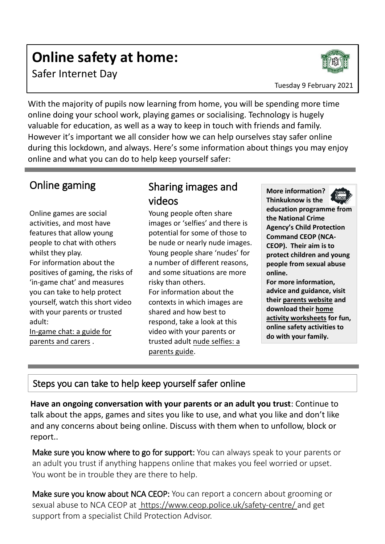# **Online safety at home:**

Safer Internet Day

Tuesday 9 February 2021

With the majority of pupils now learning from home, you will be spending more time online doing your school work, playing games or socialising. Technology is hugely valuable for education, as well as a way to keep in touch with friends and family. However it's important we all consider how we can help ourselves stay safer online during this lockdown, and always. Here's some information about things you may enjoy online and what you can do to help keep yourself safer:

#### Online gaming

Online games are social activities, and most have features that allow young people to chat with others whilst they play. For information about the positives of gaming, the risks of 'in-game chat' and measures you can take to help protect yourself, watch this short video with your parents or trusted adult: [In-game chat: a guide for](https://www.youtube.com/watch?v=_5-ij1jm9K8&feature=emb_title) 

[parents and carers](https://www.youtube.com/watch?v=_5-ij1jm9K8&feature=emb_title).

#### Sharing images and videos

Young people often share images or 'selfies' and there is potential for some of those to be nude or nearly nude images. Young people share 'nudes' for a number of different reasons, and some situations are more risky than others. For information about the contexts in which images are shared and how best to respond, take a look at this video with your parents or trusted adult [nude selfies: a](https://www.thinkuknow.co.uk/parents/articles/Nude-selfies-a-parents-guide/)  [parents guide.](https://www.thinkuknow.co.uk/parents/articles/Nude-selfies-a-parents-guide/)

**More information?** 



**Thinkuknow is the education programme from the National Crime Agency's Child Protection Command CEOP (NCA-CEOP). Their aim is to protect children and young people from sexual abuse online.** 

**For more information, advice and guidance, visit their [parents website](http://www.thinkuknow.co.uk/parents) and download their [home](https://www.thinkuknow.co.uk/parents/Support-tools/home-activity-worksheets/)  [activity worksheets](https://www.thinkuknow.co.uk/parents/Support-tools/home-activity-worksheets/) for fun, online safety activities to do with your family.** 

#### Steps you can take to help keep yourself safer online

**Have an ongoing conversation with your parents or an adult you trust**: Continue to talk about the apps, games and sites you like to use, and what you like and don't like and any concerns about being online. Discuss with them when to unfollow, block or report..

Make sure you know where to go for support: You can always speak to your parents or an adult you trust if anything happens online that makes you feel worried or upset. You wont be in trouble they are there to help.

Make sure you know about NCA CEOP: You can report a concern about grooming or sexual abuse to NCA CEOP at <https://www.ceop.police.uk/safety-centre/> and get support from a specialist Child Protection Advisor.